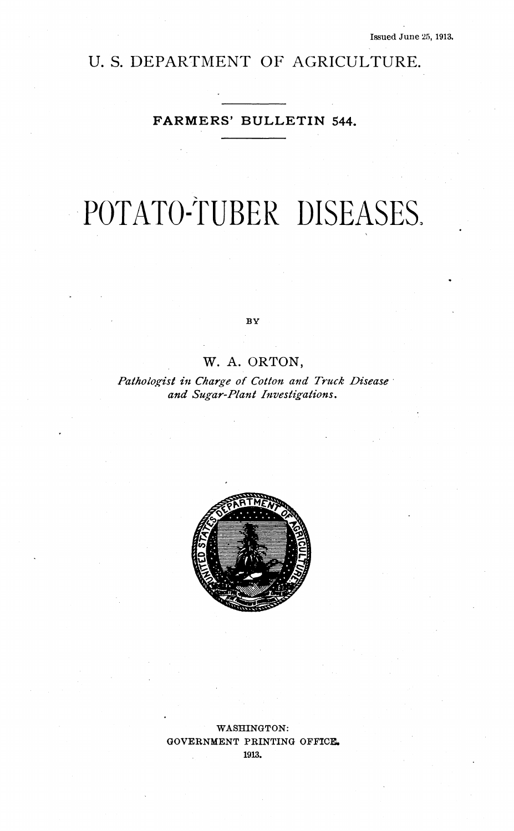# U. S. DEPARTMENT OF AGRICULTURE.

# **FARMERS' BULLETIN 544.**

# POTATO-TUBER DISEASES.

 $BY$ 

# W. A. ORTON,

*Pathologist in Charge of Cotton and Truck Disease and Sugar-Plant Investigations,*



WASHINGTON: GOVERNMENT PRINTING OFFICE. 1913.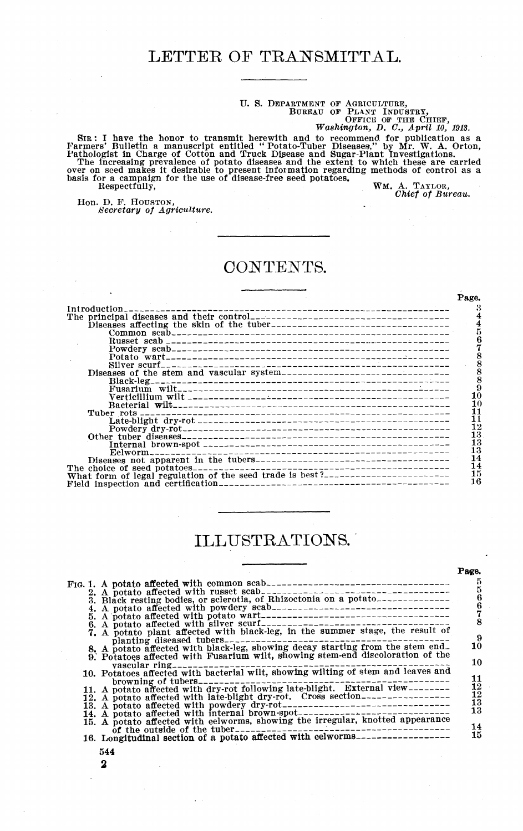# U. S. DEPARTMENT OF AGRICULTURE,<br>BUREAU OF PLANT INDUSTRY,<br>*Washington, D. C., April 10, 1913.*<br>*Washington, D. C., April 10, 1913.*

SIR: I have the honor to transmit herewith and to recommend for publication as a rannoscript entitled "Potato-Tuber Diseases," by Mr. W. A. Orton, The increasing prevalence of potato diseases and Sugar-Plant Investigation

Hon. D. F. HOUSTON, *Secretary of Agriculture.*

*Chief of Bureau.*

**Page.**

# CONTENTS.

|                                                                             | <b>LOSO</b> |
|-----------------------------------------------------------------------------|-------------|
|                                                                             |             |
|                                                                             |             |
|                                                                             |             |
|                                                                             |             |
|                                                                             |             |
|                                                                             |             |
|                                                                             |             |
|                                                                             |             |
| Diseases of the stem and vascular system----------------------------------- |             |
|                                                                             |             |
|                                                                             |             |
|                                                                             | 10          |
|                                                                             | 10<br>11    |
|                                                                             | 11          |
|                                                                             | 12          |
|                                                                             | 13          |
|                                                                             | 13          |
|                                                                             | 13          |
|                                                                             | 14          |
| The choice of seed potatoes.                                                | 14          |
|                                                                             | 15          |
|                                                                             | 16          |
|                                                                             |             |

# ILLUSTRATIONS.

|  |                                                                                                                                                                  | Page.                                                                         |
|--|------------------------------------------------------------------------------------------------------------------------------------------------------------------|-------------------------------------------------------------------------------|
|  |                                                                                                                                                                  |                                                                               |
|  |                                                                                                                                                                  | 5                                                                             |
|  | 3. Black resting bodies, or sclerotia, of Rhizoctonia on a potato                                                                                                |                                                                               |
|  |                                                                                                                                                                  |                                                                               |
|  |                                                                                                                                                                  |                                                                               |
|  |                                                                                                                                                                  | 8                                                                             |
|  | 7. A potato plant affected with black-leg, in the summer stage, the result of                                                                                    | 9                                                                             |
|  | planting diseased tubers_______________                                                                                                                          | 10                                                                            |
|  | 8. A potato affected with black-leg, showing decay starting from the stem end.<br>9. Potatoes affected with Fusarium wilt, showing stem-end discoloration of the |                                                                               |
|  |                                                                                                                                                                  | 10                                                                            |
|  | vascular $ring_{------}$<br>10. Potatoes affected with bacterial wilt, showing wilting of stem and leaves and                                                    |                                                                               |
|  | browning of tubers________                                                                                                                                       |                                                                               |
|  | 11. A potato affected with dry-rot following late-blight. External view--------                                                                                  | $\frac{11}{12}$                                                               |
|  | 12. A potato affected with late-blight dry-rot. Cross section------------------                                                                                  |                                                                               |
|  |                                                                                                                                                                  | $\begin{array}{c} \bar{1}\bar{2}\ \bar{1}\bar{3}\ \bar{1}\bar{3} \end{array}$ |
|  | 14. A potato affected with internal brown-spot__________________________________                                                                                 |                                                                               |
|  | 15. A potato affected with eelworms, showing the irregular, knotted appearance                                                                                   |                                                                               |
|  | of the outside of the tuber-----------------                                                                                                                     | 14                                                                            |
|  | 16. Longitudinal section of a potato affected with eelworms-----------------                                                                                     | 15                                                                            |
|  |                                                                                                                                                                  |                                                                               |

- **544**
- **2**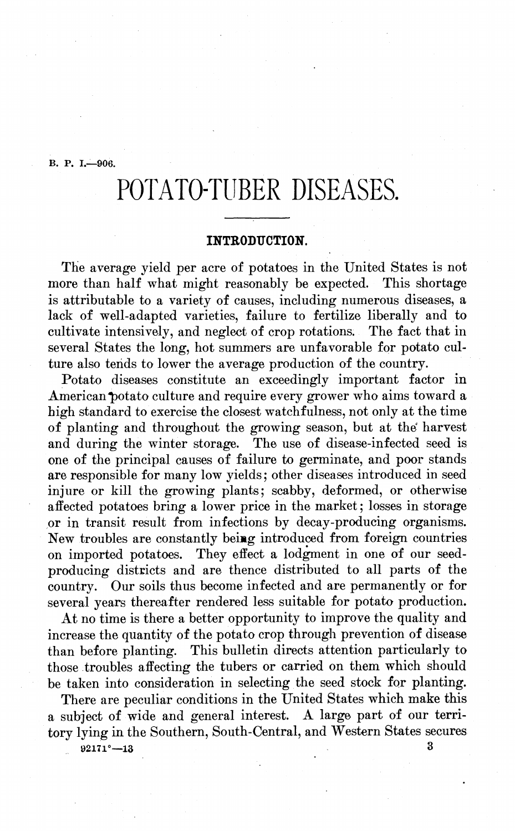**B. P. I.—906.**

# POTATO-TUBER DISEASES.

# **INTRODUCTION.**

The average yield per acre of potatoes in the United States is not more than half what might reasonably be expected. This shortage is attributable to a variety of causes, including numerous diseases, a lack of well-adapted varieties, failure to fertilize liberally and to cultivate intensively, and neglect of crop rotations. The fact that in cultivate intensively, and neglect of crop rotations. several States the long, hot summers are unfavorable for potato culture also tends to lower the average production of the country.

Potato diseases constitute an exceedingly important factor in American potato culture and require every grower who aims toward a high standard to exercise the closest watchfulness, not only at the time of planting and throughout the growing season, but at the harvest and during the winter storage. The use of disease-infected seed is one of the principal causes of failure to germinate, and poor stands are responsible for many low yields ; other diseases introduced in seed injure or kill the growing plants; scabby, deformed, or otherwise affected potatoes bring a lower price in the market; losses in storage or in transit result from infections by decay-producing organisms. New troubles are constantly beiag introduced from foreign countries on imported potatoes. They effect a lodgment in one of our seedproducing districts and are thence distributed to all parts of the country. Our soils thus become infected and are permanently or for several years thereafter rendered less suitable for potato production.

At no time is there a better opportunity to improve the quality and increase the quantity of the potato crop through prevention of disease than before planting. This bulletin directs attention particularly to those troubles affecting the tubers or carried on them which should be taken into consideration in selecting the seed stock for planting.

There are peculiar conditions in the United States which make this a subject of wide and general interest. A large part of our territory lying in the Southern, South-Central, and Western States secures

**92171°—13 3**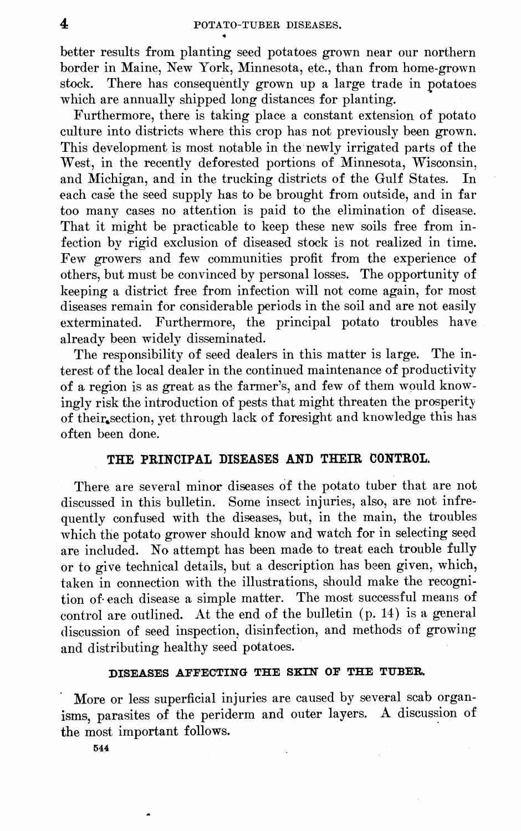better results from planting seed potatoes grown near our northern border in Maine, New York, Minnesota, etc., than from home-grown stock. There has consequently grown up a large trade in potatoes which are annually shipped long distances for planting.

Furthermore, there is taking place a constant extension of potato culture into districts where this crop has not previously been grown. This development is most notable in the newly irrigated parts of the West, in the recently deforested portions of Minnesota, Wisconsin, and Michigan, and in the trucking districts of the Gulf States. In each case the seed supply has to be brought from outside, and in far too many cases no attention is paid to the elimination of disease. That it might be practicable to keep these new soils free from infection by rigid exclusion of diseased stock is not realized in time. Few growers and few communities profit from the experience of others, but must be convinced by personal losses. The opportunity of keeping a district free from infection will not come again, for most diseases remain for considerable periods in the soil and are not easily exterminated. Furthermore, the principal potato troubles have already been widely disseminated.

The responsibility of seed dealers in this matter is large. The interest of the local dealer in the continued maintenance of productivity of a region is as great as the farmer's, and few of them would knowingly risk the introduction of pests that might threaten the prosperity of their section, yet through lack of foresight and knowledge this has often been done.

# **THE PEINCIPAL DISEASES AND THEIR CONTROL.**

There are several minor diseases of the potato tuber that are not discussed in this bulletin. Some insect injuries, also, are not infrequently confused with the diseases, but, in the main, the troubles which the potato grower should know and watch for in selecting seed are included. No attempt has been made to treat each trouble fully or to give technical details, but a description has been given, which, taken in connection with the illustrations, should make the recognition of- each disease a simple matter. The most successful means of control are outlined. At the end of the bulletin (p. 14) is a general discussion of seed inspection, disinfection, and methods of growing and distributing healthy seed potatoes.

## **DISEASES AFFECTING THE SKIN OF THE TUBER.**

More or less superficial injuries are caused by several scab organisms, parasites of the periderm and outer layers. A discussion of the most important follows.

**544**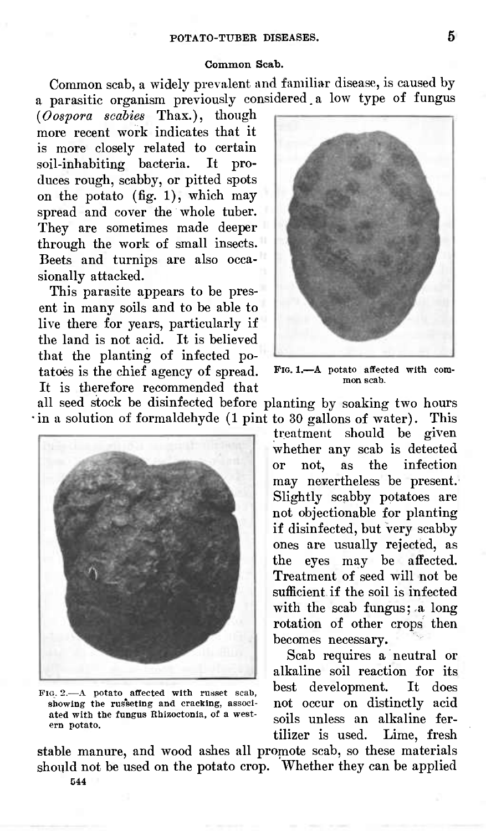#### **Common Scab.**

Common scab, a widety prevalent and familiar disease, is caused by a parasitic organism previously considered.a low type of fungus

*{Oospora scabies* Thax.), though more recent work indicates that it is more closely related to certain soil-inhabiting bacteria. It produces rough, scabby, or pitted spots on the potato (fig. 1), which may spread and cover the whole tuber. They are sometimes made deeper through the work of small insects. Beets and turnips are also occasionally attacked.

This parasite appears to be present in many soils and to be able to live there for years, particularly if the land is not acid. It is believed that the planting of infected potatoes is the chief agency of spread. It is therefore recommended that



**PIG. 1.-** A potato affected with common scab.

all seed stock be disinfected before planting by soaking two hours in a solution of formaldehyde (1 pint to 30 gallons of water). This



FIG. 2.—A potato affected with russet scab, showing the rus'seting and cracking, associated with the fungus Rhizoctonia, of a western potato.

treatment should be given whether any scab is detected or not, as the infection may nevertheless be present. Slightly scabby potatoes are not objectionable for planting if disinfected, but very scabby ones are usually rejected, as the eyes may be affected. Treatment of seed will not be sufficient if the soil is infected with the scab fungus; a long rotation of other crops then becomes necessary.

Scab requires a neutral or alkaline soil reaction for its best development. It does not occur on distinctly acid soils unless an alkaline fer-<br>tilizer is used. Lime, fresh tilizer is used.

stable manure, and wood ashes all promote scab, so these materials should not be used on the potato crop. Whether they can be applied 544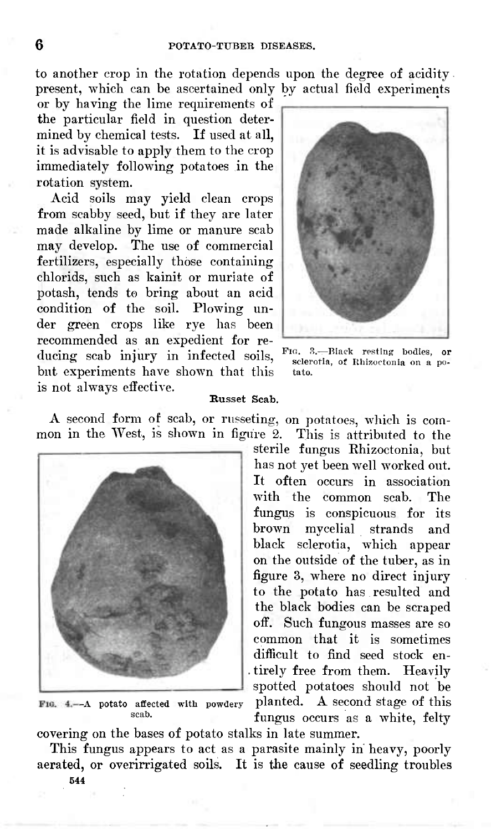to another crop in the rotation depends upon the degree of acidity present, which can be ascertained only by actual field experiments

or by having the lime requirements of the particular field in question determined by chemical tests. If used at all, it is advisable to apply them to the crop immediately following potatoes in the rotation system.

Acid soils may yield clean crops from scabby seed, but if they are later made alkaline by lime or manure scab may develop. The use of commercial fertilizers, especially those containing chlorids, such as kainit or muriate of potash, tends to bring about an acid condition of the soil. Plowing under green crops like rye has been recommended as an expedient for reducing scab injury in infected soils, but experiments have shown that this is not always effective.



Fio. 3.—Black resting bodies, or sclerotia, of Rhizoctonia on a potato.

#### **Russet Scab.**

A second form of scab, or russeting, on potatoes, which is common in the West, is shown in figure 2. This is attributed to the



-A **potato** affected with powderyscab.

sterile fungus Khizoctonia, but has not yet been well worked out. It often occurs in association with the common scab. The fungus is conspicuous for its brown mycelial strands and black sclerotia, which appear on the outside of the tuber, as in figure 3, where no direct injury to the potato has resulted and the black bodies can be scraped off. Such fungous masses are so common that it is sometimes difficult to find seed stock en-. tirely free from them. Heavily spotted potatoes should not be planted. A second stage of this fungus occurs as a white, felty

covering on the bases of potato stalks in late summer.

This fungus appears to act as a parasite mainly in heavy, poorly aerated, or overirrigated soils. It is the cause of seedling troubles

**544**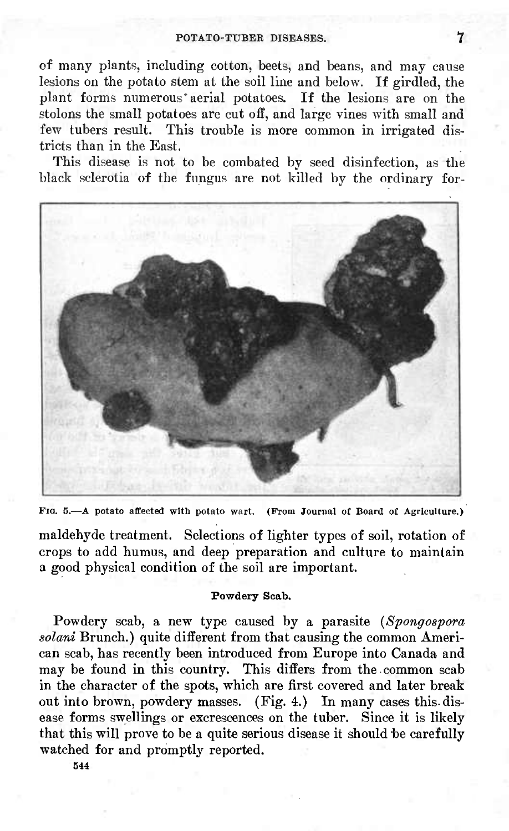of many plants, including cotton, beets, and beans, and may cause lesions on the potato stem at the soil line and below. If girdled, the plant forms numerous\* aerial potatoes. If the lesions are on the stolons the small potatoes are cut off, and large vines with small and few tubers result. This trouble is more common in irrigated districts than in the East.

This disease is not to be combated by seed disinfection, as the black sclerotia of the fungus are not killed by the ordinary for-



FIG. 5.—A potato affected with potato wart. (From Journal of Board of Agriculture.)

maldehyde treatment. Selections of lighter types of soil, rotation of crops to add humus, and deep preparation and culture to maintain a good physical condition of the soil are important.

#### **Powdery Scab.**

Powdery scab, a new type caused by a parasite *{Spongospora solani* Brunch.) quite different from that causing the common American scab, has recently been introduced from Europe into Canada and may be found in this country. This differs from the common scab in the character of the spots, which are first covered and later break out into brown, powdery masses. (Fig. 4.) In many cases this, disease forms swellings or excrescences on the tuber. Since it is likely that this will prove to be a quite serious disease it should be carefully watched for and promptly reported.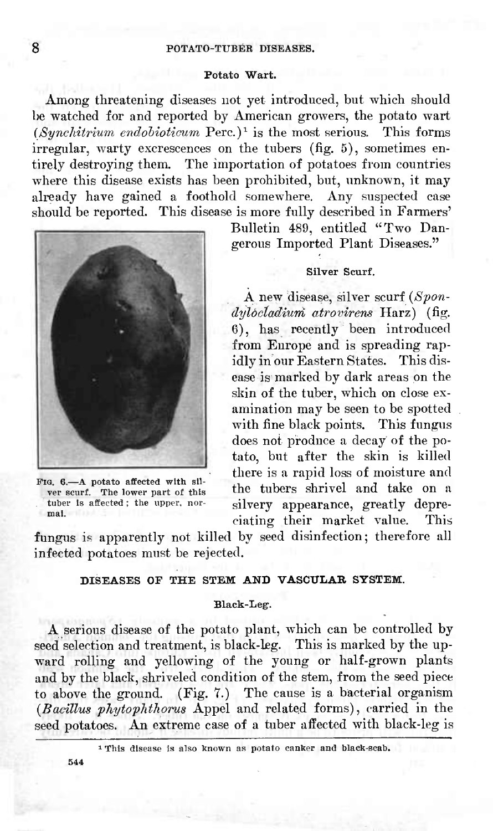#### **Potato Wart.**

Among threatening diseases not yet introduced, but which should be watched for and reported by American growers, the potato wart  $(Synchitrium endobioticum~Perc.)$ <sup>1</sup> is the most serious. This forms irregular, warty excrescences on the tubers (fig. 5), sometimes entirely destroying them. The importation of potatoes from countries where this disease exists has been prohibited, but, unknown, it may already have gained a foothold somewhere. Any suspected case should be reported. This disease is more fully described in Farmers'



FIG. 6.—A potato affected with sil-ver scurf. The lower part of this tuber Is affected ; the upper, normal.

Bulletin 489, entitled "Two Dangerous Imported Plant Diseases."

#### **Silver Scurf.**

A new disease, silver scurf *{Spondyloctadiurri atrovirens* Harz) (fig. G), has recently been introduced from Europe and is spreading rapidly in our Eastern States. This disease is marked by dark areas on the skin of the tuber, which on close examination may be seen to be spotted with fine black points. This fungus does not produce a decay of the potato, but after the skin is killed there is a rapid loss of moisture and the tubers shrivel and take on a silvery appearance, greatly depreciating their market value. This

fungus is apparently not killed by seed disinfection; therefore all infected potatoes must be rejected.

## **DISEASES OF THE STEM AND VASCULAR SYSTEM.**

#### **Black-Leg.**

A serious disease of the potato plant, which can be controlled by seed selection and treatment, is black-leg. This is marked by the upward rolling and yellowing of the young or half-grown plants and by the black, shriveled condition of the stem, from the seed piece to above the ground. (Fig. 7.) The cause is a bacterial organism *{Bacillm phytophthorus* Appel and related forms), carried in the seed potatoes. An extreme case of a tuber affected with black-leg is

<sup>1</sup> This disease is also known as potato canker and black-scab.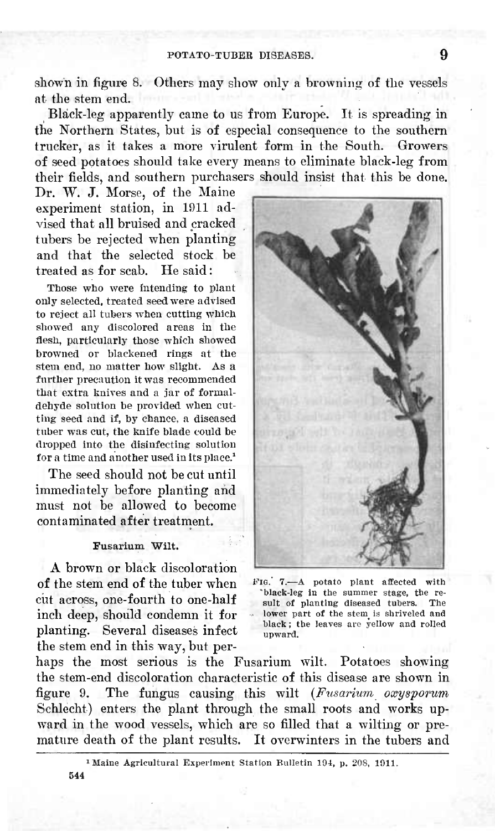shown in figure 8. Others may show only a browning of the vessels at the stem end.

Black-leg apparently came to us from Europe. It is spreading in the Northern States, but is of especial consequence to the southern trucker, as it takes a more virulent form in the South. Growers of seed potatoes should take every means to eliminate black-leg from their fields, and southern purchasers should insist that this be done.

Dr. W. J. Morse, of the Maine experiment station, in 1911 advised that all bruised and cracked tubers be rejected when planting and that the selected stock be treated as for scab. He said :

Those who were intending to plant only selected, treated seed were advised to reject all tubers when cutting which showed any discolored areas in the flesh, particularly those which showed browned or blackened rings at the stem end, no matter how slight. As a further precaution it was recommended that extra knives and a jar of formaldehyde solution be provided when cutting seed and if, by chance, a diseased tuber was cut, the knife blade could be dropped into the disinfecting solution for a time and another used in its place.<sup>1</sup>

The seed should not be cut until immediately before planting and must not be allowed to become contaminated after treatment,

#### **Fusarium Wilt,**

A brown or black discoloration of the stem end of the tuber when cut across, one-fourth to one-half inch deep, should condemn it for planting. Several diseases infect the stem end in this way, but per-



FIG. 7.—A potato plant affected with 'black-leg in the summer stage, the result of planting diseased tubers. The lower part of the stem is shriveled and black ; the leaves are yellow and rolled upward.

haps the most serious is the Fusarium wilt. Potatoes showing the stem-end discoloration characteristic of this disease are shown in figure 9. The fungus causing this wilt *{Fusarium oxysporum* Schlecht) enters the plant through the small roots and works upward in the wood vessels, which are so filled that a wilting or premature death of the plant results. It overwinters in the tubers and

<sup>1</sup> Maine Agricultural Experiment Station Bulletin 104, p. 208, 1011. 544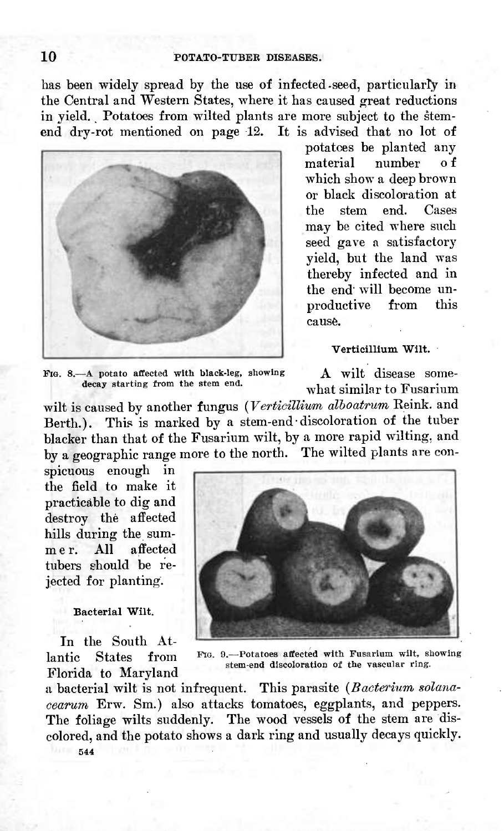has been widely spread by the use of infected-seed, particularfy in the Central and Western States, where it has caused great reductions in yield. Potatoes from wilted plants are more subject to the stemend dry-rot mentioned on page 12. It is advised that no lot of



potatces be planted any<br>material number of number of which show a deep brown or black discoloration at the stem end. Cases may be cited where such seed gave a satisfactory yield, but the land was thereby infected and in the end will become un-<br>productive from this productive cause.

**Verticillium Wilt.**

FIG. 8.—A potato affected with black-leg, showing decay starting from the stem end.

A wilt disease somewhat similar to Fusarium

wilt is caused by another fungus *{Verticillivm alhoatrum* Reink. and Berth.). This is marked by a stem-end discoloration of the tuber blacker than that of the Fusarium wilt, by a more rapid wilting, and by a geographic range more to the north. The wilted plants are con-

spicuous enough in the field to make it practicable to dig and destroy the affected hills during the sum-<br>mer. All affected mer. All affected tubers should be rejected for planting.

## **Bacterial Wilt.**

In the South Atlantic States from Florida to Maryland



PIG. 9.—Potatoes affected with Fusarium wilt, showing stem-end discoloration of the yascular ring.

a bacterial wilt is not infrequent. This parasite *{Bacterium solanacearum* Erw. Sm.) also attacks tomatoes, eggplants, and peppers. The foliage wilts suddenly. The wood vessels of the stem are discolored, and the potato shows a dark ring and usually decays quickly. **544**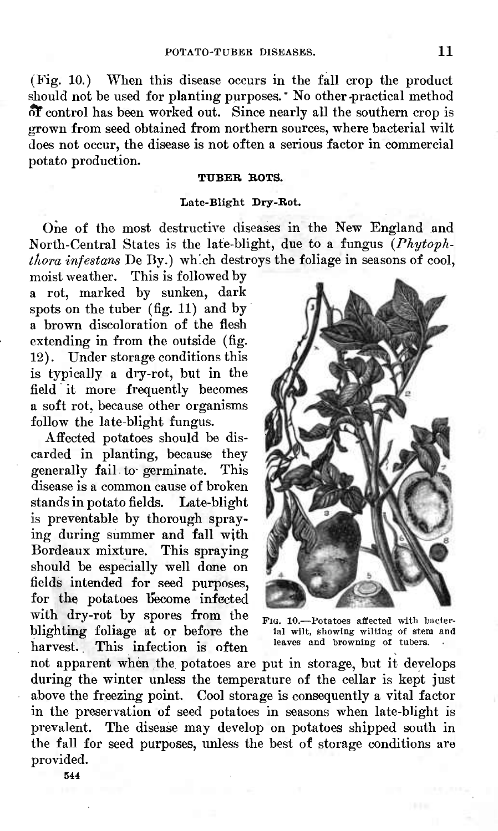(Fig. 10.) When this disease occurs in the fall crop the product should not be used for planting purposes. No other practical method o¥ control has been worked out. Since nearly all the southern crop is grown from seed obtained from northern sources, where bacterial wilt does not occur, the disease is not often a serious factor in commercial potato production.

#### **TUBER BOTS.**

#### **Late-Blight Dry-Bot.**

One of the most destructive diseases in the New England and North-Central States is the late-blight, due to a fungus *{Phytophthora infestans* De By.) which destroys the foliage in seasons of cool,

moist weather. This is followed by a rot, marked by sunken, dark spots on the tuber (fig. 11) and by a brown discoloration of the flesh extending in from the outside (fig. 12). Under storage conditions this is typically a dry-rot, but in the field it more frequently becomes a soft rot, because other organisms follow the late-blight fungus.

Affected potatoes should be discarded in planting, because they generally fail to germinate. This disease is a common cause of broken standsin potato fields. Late-blight is preventable by thorough spraying during summer and fall with Bordeaux mixture. This spraying should be especially well done on fields intended for seed purposes, for the potatoes become infected with dry-rot by spores from the blighting foliage at or before the harvest. This infection is often



FIG. 10.-Potatoes affected with bacterlal wilt, showing wilting of stem and leaves and browning of tubers.

not apparent when the potatoes are put in storage, but it develops during the winter unless the temperature of the cellar is kept just above the freezing point. Cool storage is consequently a vital factor in the preservation of seed potatoes in seasons when late-blight is prevalent. The disease may develop on potatoes shipped south in the fall for seed purposes, unless the best of storage conditions are provided.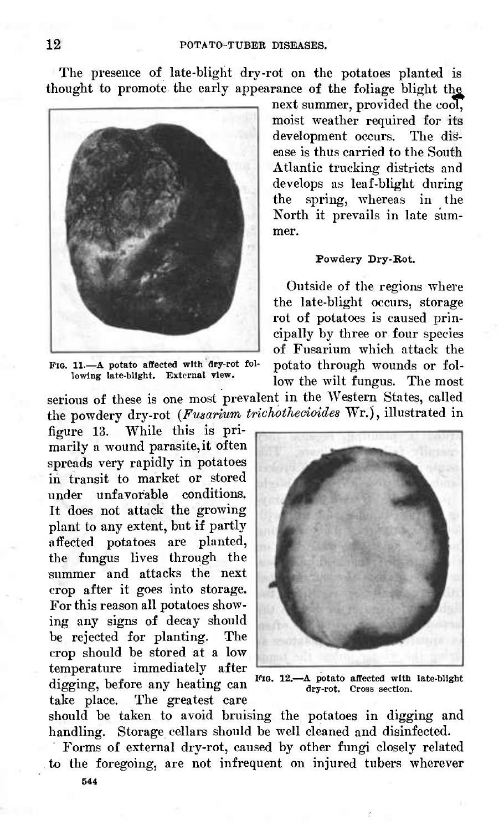The presence of late-blight dry-rot on the potatoes planted is thought to promote the early appearance of the foliage blight the



FIG. 11.—A potato affected with dry-rot following late-blight. External view.

serious of these is one most prevalent in the Western States, called the powdery dry-rot *(Fusarium trichothecioides* Wr.), illustrated in

figure 13. While this is primarily a wound parasite, it often spreads very rapidly in potatoes in transit to market or stored under unfavorable conditions. It does not attack the growing plant to any extent, but if partly affected potatoes are planted, the fungus lives through the summer and attacks the next crop after it goes into storage. For this reason all potatoes showing any signs of decay should be rejected for planting. The crop should be stored at a low temperature immediately after digging, before any heating can take place. The greatest care next summer, provided the *cool,* moist weather required for its development occurs. The disease is thus carried to the South Atlantic trucking districts and develops as leaf-blight during the spring, whereas in the North it prevails in late summer.

#### Powdery Dry-Bot.

Outside of the regions where the late-blight occurs, storage rot of potatoes is caused principally by three or four species of Fusarium which attack the potato through wounds or follow the wilt fungus. The most



FIG. 12.-A potato affected with late-blight dry-rot. Cross section.

should be taken to avoid bruising the potatoes in digging and handling. Storage cellars should be well cleaned and disinfected.

Forms of external dry-rot, caused by other fungi closely related to the foregoing, are not infrequent on injured tubers wherever 544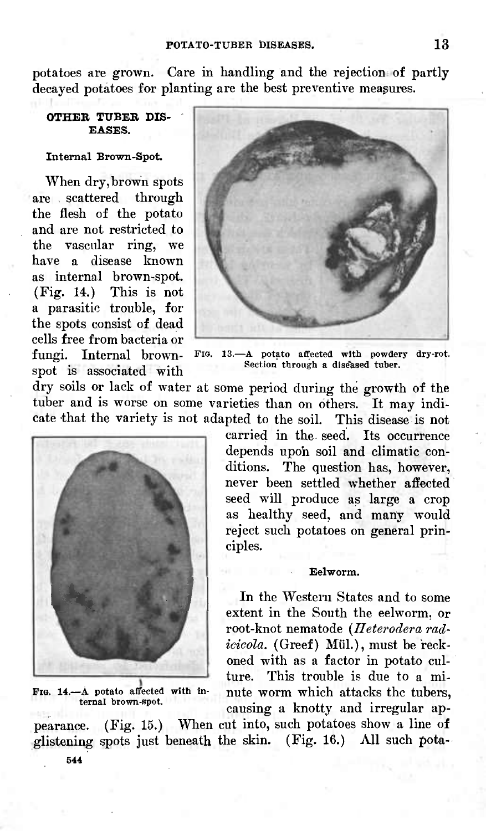potatoes are grown. Care in handling and the rejection of partly decayed potatoes for planting are the best preventive measures.

### OTHER TUBER DIS-EASES.

#### Internal Brown-Spot.

When dry, brown spots are scattered through the flesh of the potato and are not restricted to the vascular ring, we have a disease known as internal brown-spot. (Fig. 14.) This is not a parasitic trouble, for the spots consist of dead cells free from bacteria or fungi. Internal brownspot is associated with



FIG. 13.- A potato affected with powdery dry-rot. Section through a diseased tuber.

dry soils or lack of water at some period during the growth of the tuber and is worse on some varieties than on others. It may indicate that the variety is not adapted to the soil. This disease is not



**PIG.** 14 —A potato affected with Internal brown-spot.

carried in the seed. Its occurrence depends upoh soil and climatic conditions. The question has, however, never been settled whether affected seed will produce as large a crop as healthy seed, and many would reject such potatoes on general principles.

#### **Eelworm.**

In the Western States and to some extent in the South the eelworm, or root-knot nematode *{Heterodera rad*icicola. (Greef) Mül.), must be reckoned with as a factor in potato culture. This trouble is due to a minute worm which attacks the tubers, causing a knotty and irregular ap-

pearance. (Fig. 15.) When cut into, such potatoes show a line of glistening spots just beneath the skin. (Fig. 16.) All such pota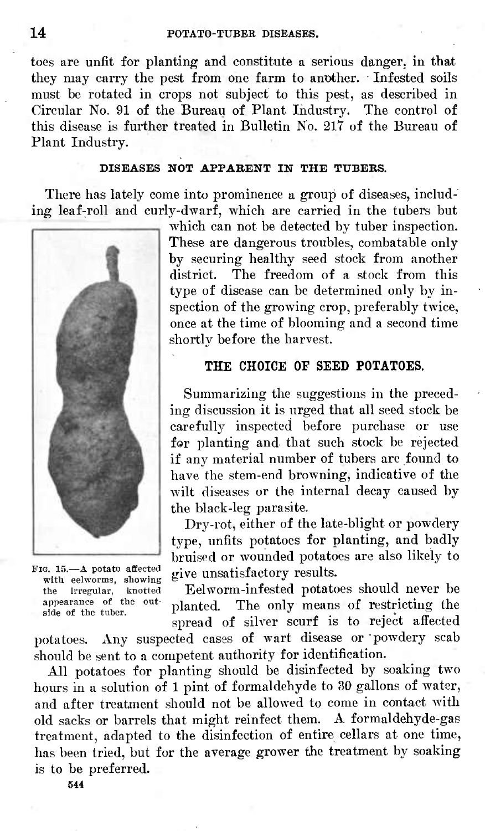toes are unfit for planting and constitute a serious danger, in that they may carry the pest from one farm to another. Infested soils must be rotated in crops not subject to this pest, as described in Circular No. 91 of the Bureau of Plant Industry. The control of this disease is further treated in Bulletin No. 217 of the Bureau of Plant Industry.

## **DISEASES NOT APPARENT IN THE TUBERS.**

There has lately come into prominence a group of diseases, including leaf-roll and curly-dwarf, which are carried in the tubers but



FIG. 15.—A potato affected with eelworms, showing the irregular, knotted appearance of the outside of the tuber.

which can not be detected by tuber inspection. These are dangerous troubles, combatable only by securing healthy seed stock from another district. The freedom of a stock from this type of disease can be determined only by inspection of the growing crop, preferably twice, once at the time of blooming and a second time shortly before the harvest.

## THE CHOICE OF SEED POTATOES.

Summarizing the suggestions in the preceding discussion it is urged that all seed stock be carefully inspected before purchase or use for planting and that such stock be rejected if any material number of tubers are found to have the stem-end browning, indicative of the wilt diseases or the internal decay caused by the black-leg parasite.

Dry-rot, either of the late-blight or powdery type, unfits potatoes for planting, and badly bruised or wounded potatoes are also likely to give unsatisfactory results.

Eelworm-infested potatoes should never be planted. The only means of restricting the spread of silver scurf is to reject affected

potatoes. Any suspected cases of wart disease or powdery scab should be sent to a competent authority for identification.

All potatoes for planting should be disinfected by soaking two hours in a solution of <sup>1</sup> pint of formaldehyde to 30 gallons of water, and after treatment should not be allowed to come in contact with old sacks or barrels that might reinfect them. A formaldehyde-gas treatment, adapted to the disinfection of entire cellars at one time, has been tried, but for the average grower the treatment by soaking is to be preferred.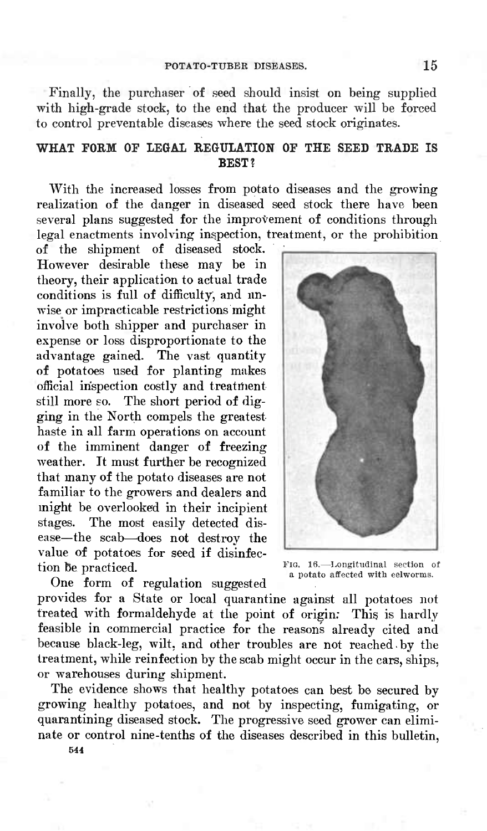#### POTATO-TUBER DISEASES. 15

Finally, the purchaser of seed should insist on being supplied with high-grade stock, to the end that the producer will be forced to control preventable diseases where the seed stock originates.

# **WHAT FORM OF LEGAL REGULATION OF THE SEED TRADE IS BEST?**

With the increased losses from potato diseases and the growing realization of the danger in diseased seed stock there have been several plans suggested for the improvement of conditions through legal enactments involving inspection, treatment, or the prohibition

of the shipment of diseased stock. However desirable these may be in theory, their application to actual trade conditions is full of difficulty, and unwise or impracticable restrictions might involve both shipper and purchaser in expense or loss disproportionate to the advantage gained. The vast quantity of potatoes used for planting makes official inspection costly and treatihent still more so. The short period of digging in the North compels the greatest haste in all farm operations on account of the imminent danger of freezing weather. It must further be recognized that many of the potato diseases are not familiar to the growers and dealers and might be overlooked in their incipient stages. The most easily detected disease—the scab—does not destroy the value of potatoes for seed if disinfection be practiced.

*Via.* 16.—Longitudinal section of a potato affected with eelworms.

One form of regulation suggested

provides for a State or local quarantine against all potatoes not treated with formaldehyde at the point of origin: This is hardly feasible in commercial practice for the reasons already cited and because black-leg, wilt, and other troubles are not reached by the treatment, while reinfection by the scab might occur in the cars, ships, or warehouses during shipment.

The evidence shows that healthy potatoes can best be secured by growing healthy potatoes, and not by inspecting, fumigating, or quarantining diseased stock. The progressive seed grower can eliminate or control nine-tenths of the diseases described in this bulletin,

544